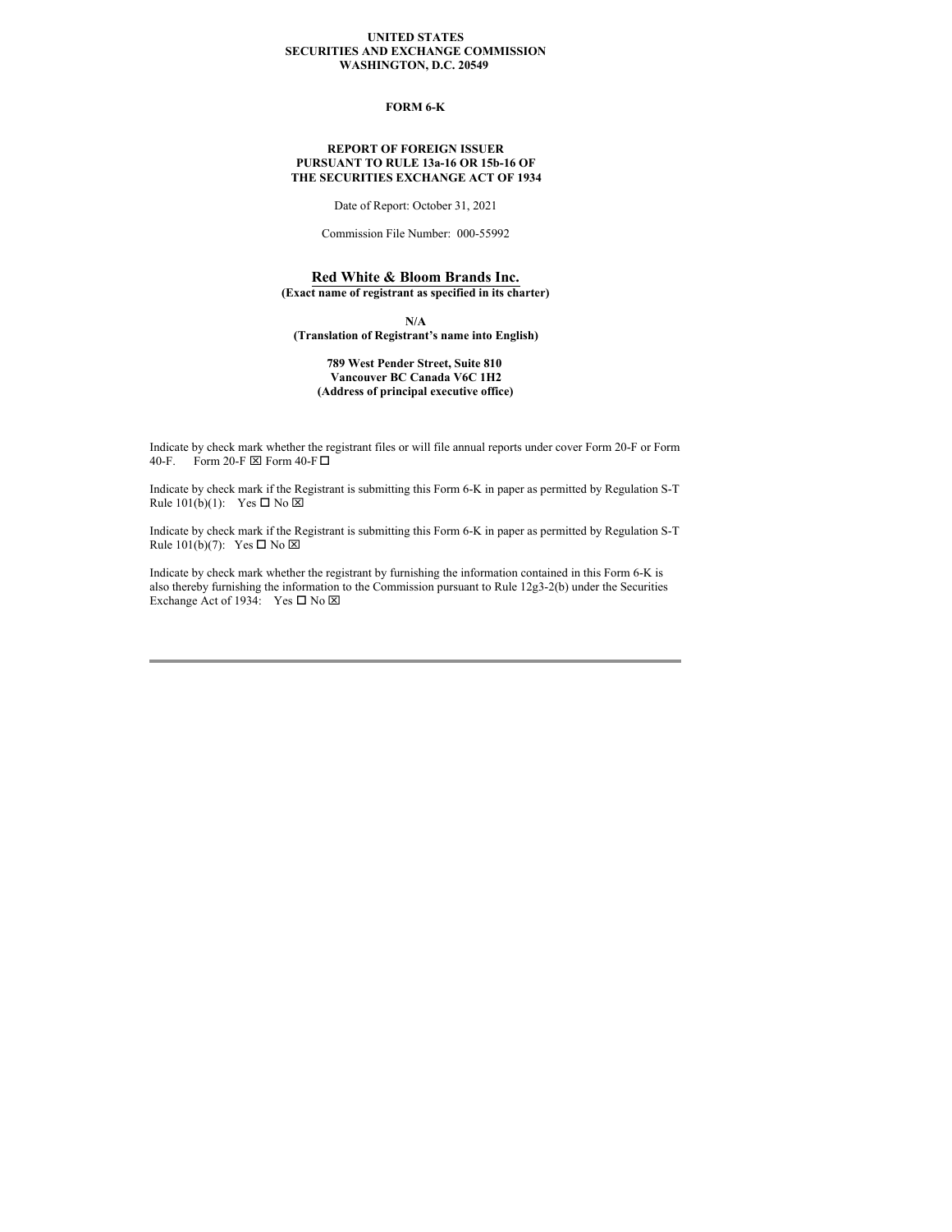#### **UNITED STATES SECURITIES AND EXCHANGE COMMISSION WASHINGTON, D.C. 20549**

#### **FORM 6-K**

#### **REPORT OF FOREIGN ISSUER PURSUANT TO RULE 13a-16 OR 15b-16 OF THE SECURITIES EXCHANGE ACT OF 1934**

Date of Report: October 31, 2021

Commission File Number: 000-55992

#### **Red White & Bloom Brands Inc. (Exact name of registrant as specified in its charter)**

**N/A (Translation of Registrant's name into English)**

#### **789 West Pender Street, Suite 810 Vancouver BC Canada V6C 1H2 (Address of principal executive office)**

Indicate by check mark whether the registrant files or will file annual reports under cover Form 20-F or Form 40-F. Form 20-F $\boxtimes$  Form 40-F $\Box$ 

Indicate by check mark if the Registrant is submitting this Form 6-K in paper as permitted by Regulation S-T Rule  $101(b)(1)$ : Yes  $\Box$  No  $\boxtimes$ 

Indicate by check mark if the Registrant is submitting this Form 6-K in paper as permitted by Regulation S-T Rule  $101(b)(7)$ : Yes  $\Box$  No  $\boxtimes$ 

Indicate by check mark whether the registrant by furnishing the information contained in this Form 6-K is also thereby furnishing the information to the Commission pursuant to Rule 12g3-2(b) under the Securities Exchange Act of 1934: Yes  $\square$  No  $\square$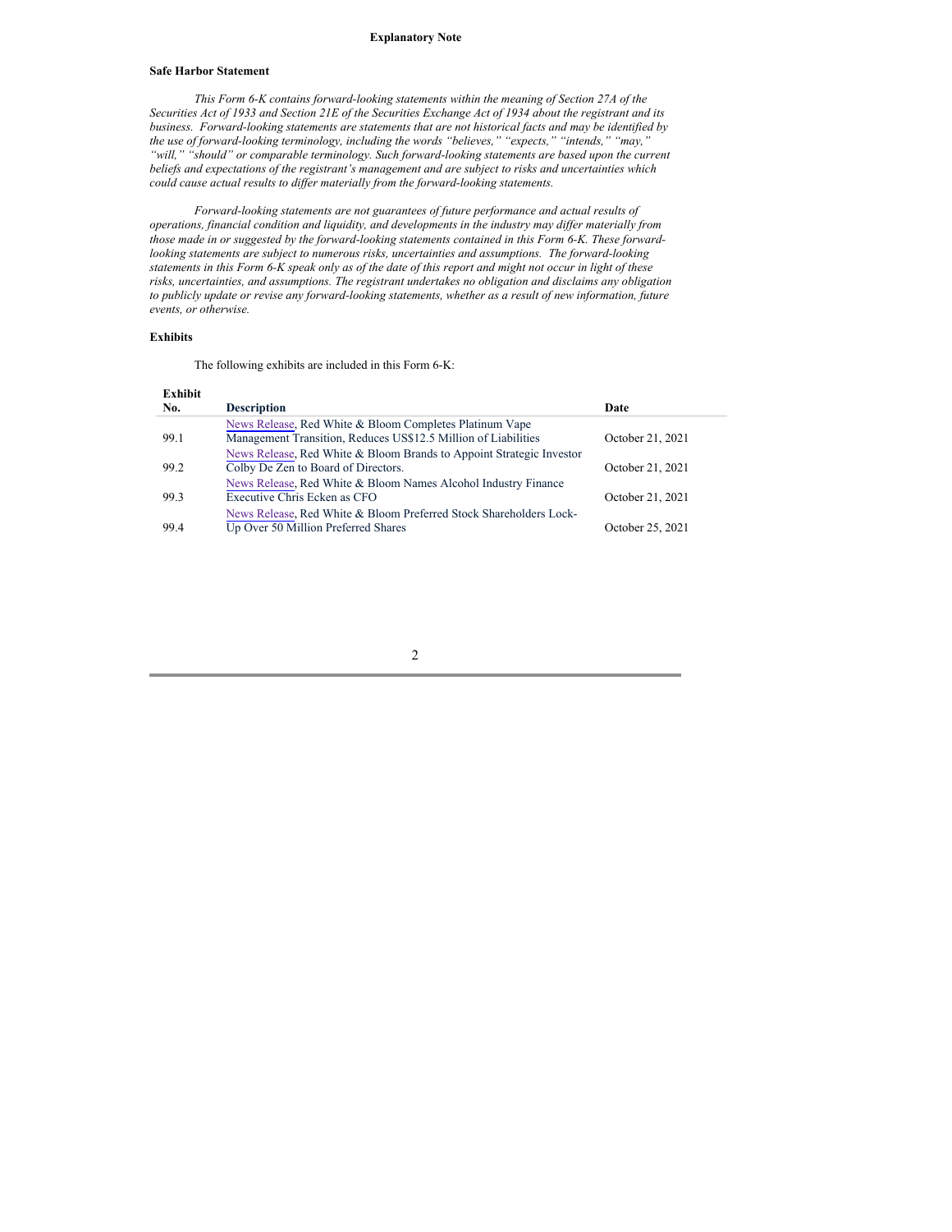#### **Explanatory Note**

#### **Safe Harbor Statement**

*This Form 6-K contains forward-looking statements within the meaning of Section 27A of the* Securities Act of 1933 and Section 21E of the Securities Exchange Act of 1934 about the registrant and its *business. Forward-looking statements are statements that are not historical facts and may be identified by the use of forward-looking terminology, including the words "believes," "expects," "intends," "may," "will," "should" or comparable terminology. Such forward-looking statements are based upon the current beliefs and expectations of the registrant's management and are subject to risks and uncertainties which could cause actual results to dif er materially from the forward-looking statements.*

*Forward-looking statements are not guarantees of future performance and actual results of operations, financial condition and liquidity, and developments in the industry may dif er materially from those made in or suggested by the forward-looking statements contained in this Form 6-K. These forwardlooking statements are subject to numerous risks, uncertainties and assumptions. The forward-looking* statements in this Form 6-K speak only as of the date of this report and might not occur in light of these *risks, uncertainties, and assumptions. The registrant undertakes no obligation and disclaims any obligation to publicly update or revise any forward-looking statements, whether as a result of new information, future events, or otherwise.*

#### **Exhibits**

The following exhibits are included in this Form 6-K:

| Exhibit |                                                                                                                           |                  |
|---------|---------------------------------------------------------------------------------------------------------------------------|------------------|
| No.     | <b>Description</b>                                                                                                        | Date             |
| 99.1    | News Release, Red White & Bloom Completes Platinum Vape<br>Management Transition, Reduces US\$12.5 Million of Liabilities | October 21, 2021 |
| 99.2    | News Release, Red White & Bloom Brands to Appoint Strategic Investor<br>Colby De Zen to Board of Directors.               | October 21, 2021 |
| 99.3    | News Release, Red White & Bloom Names Alcohol Industry Finance<br>Executive Chris Ecken as CFO                            | October 21, 2021 |
| 99.4    | News Release, Red White & Bloom Preferred Stock Shareholders Lock-<br>Up Over 50 Million Preferred Shares                 | October 25, 2021 |

2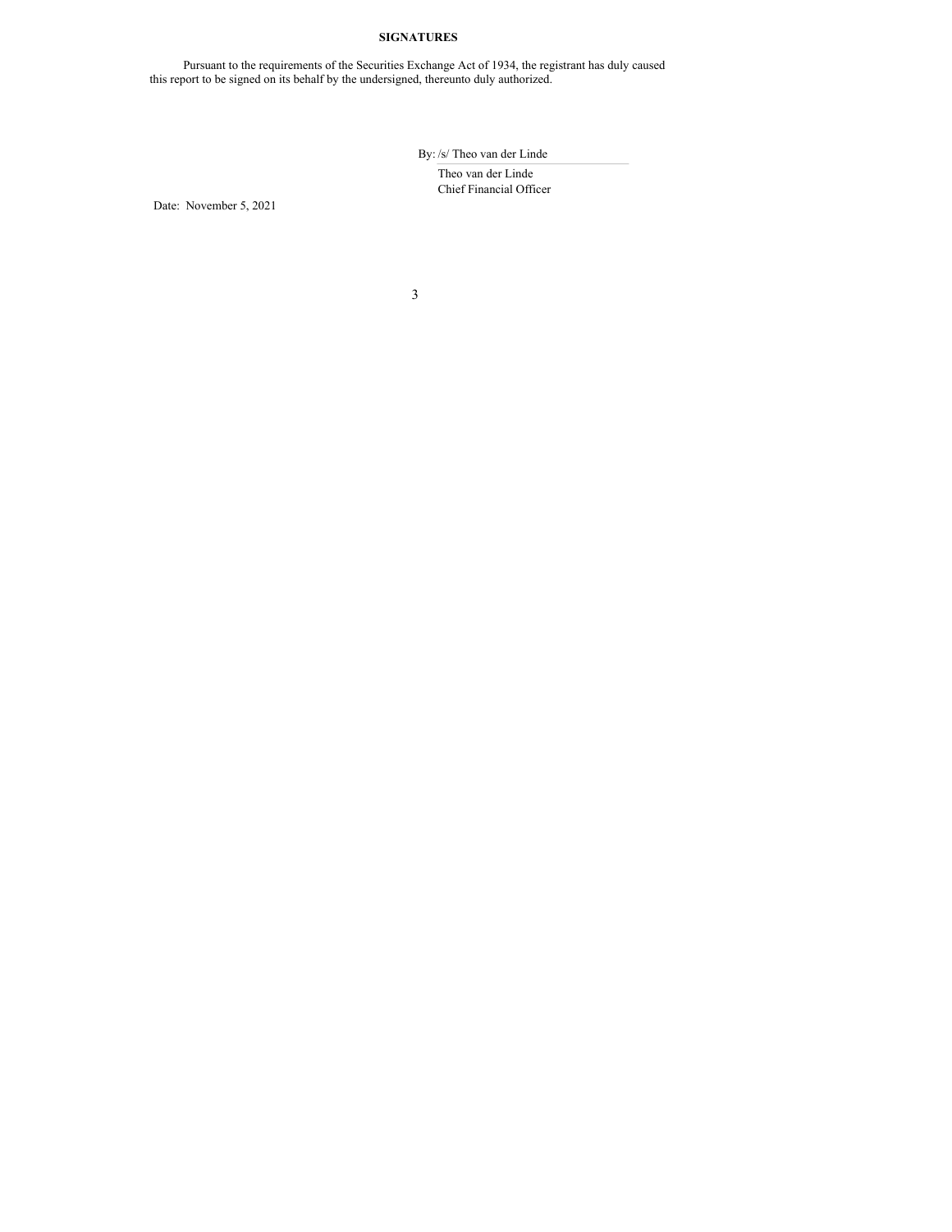## **SIGNATURES**

Pursuant to the requirements of the Securities Exchange Act of 1934, the registrant has duly caused this report to be signed on its behalf by the undersigned, thereunto duly authorized.

By: /s/ Theo van der Linde

Theo van der Linde Chief Financial Officer

Date: November 5, 2021

3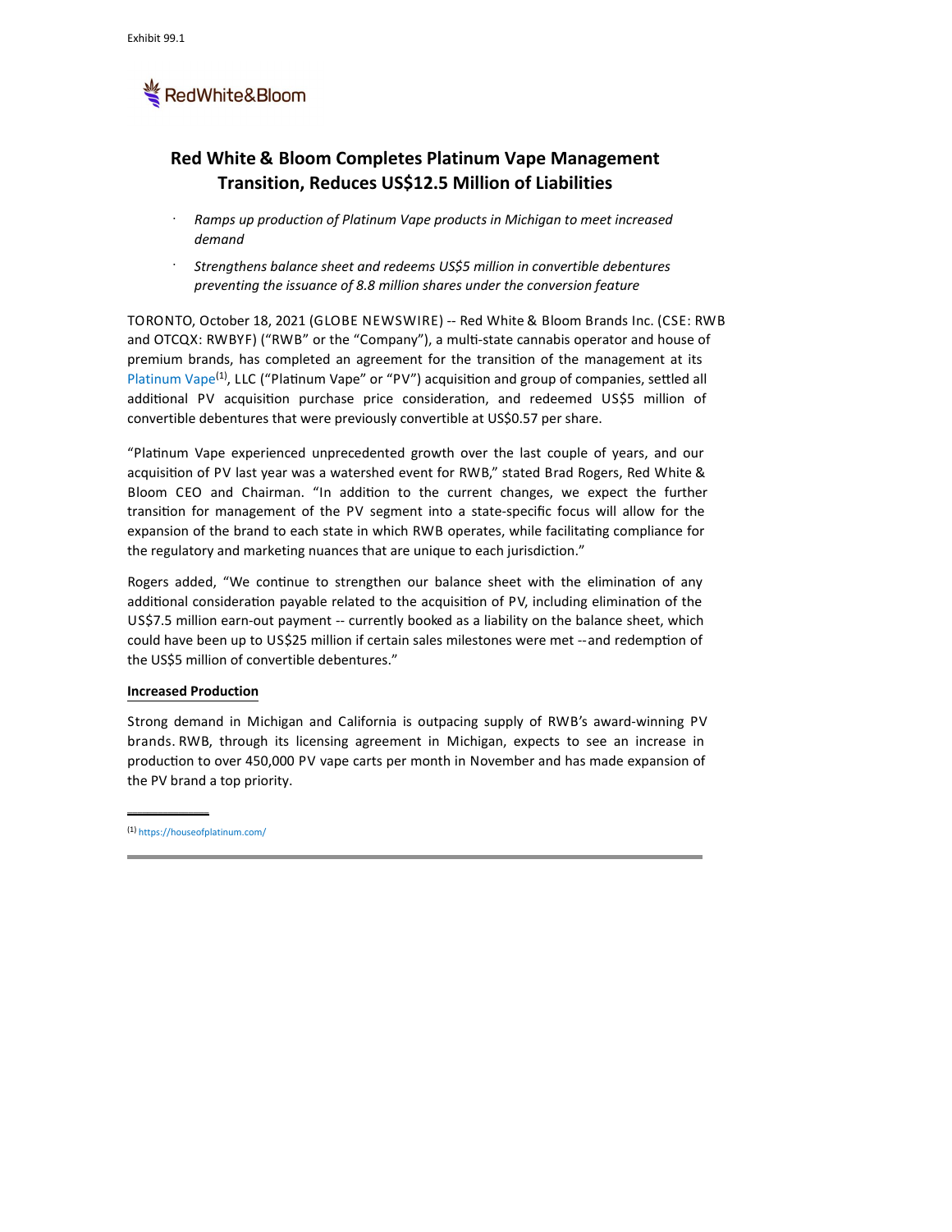

# **Red White & Bloom Completes Platinum Vape Management Transition, Reduces US\$12.5 Million of Liabilities**

- *Ramps up production of Platinum Vape products in Michigan to meet increased demand ·*
- *Strengthens balance sheet and redeems US\$5 million in convertible debentures preventing the issuance of 8.8 million shares under the conversion feature ·*

TORONTO, October 18, 2021 (GLOBE NEWSWIRE) -- Red White & Bloom Brands Inc. (CSE: RWB and OTCQX: RWBYF) ("RWB" or the "Company"), a multi-state cannabis operator and house of premium brands, has completed an agreement for the transition of the management at its Platinum Vape<sup>(1)</sup>, LLC ("Platinum Vape" or "PV") acquisition and group of companies, settled all additional PV acquisition purchase price consideration, and redeemed US\$5 million of convertible debentures that were previously convertible at US\$0.57 per share.

"Platinum Vape experienced unprecedented growth over the last couple of years, and our acquisition of PV last year was a watershed event for RWB," stated Brad Rogers, Red White & Bloom CEO and Chairman. "In addition to the current changes, we expect the further transition for management of the PV segment into a state-specific focus will allow for the expansion of the brand to each state in which RWB operates, while facilitating compliance for the regulatory and marketing nuances that are unique to each jurisdiction."

Rogers added, "We continue to strengthen our balance sheet with the elimination of any additional consideration payable related to the acquisition of PV, including elimination of the US\$7.5 million earn-out payment -- currently booked as a liability on the balance sheet, which could have been up to US\$25 million if certain sales milestones were met --and redemption of the US\$5 million of convertible debentures."

# **Increased Production**

Strong demand in Michigan and California is outpacing supply of RWB's award-winning PV brands. RWB, through its licensing agreement in Michigan, expects to see an increase in production to over 450,000 PV vape carts per month in November and has made expansion of the PV brand a top priority.

\_\_\_\_\_\_\_\_\_\_\_\_\_\_\_\_

<sup>(1)</sup> https://houseofplatinum.com/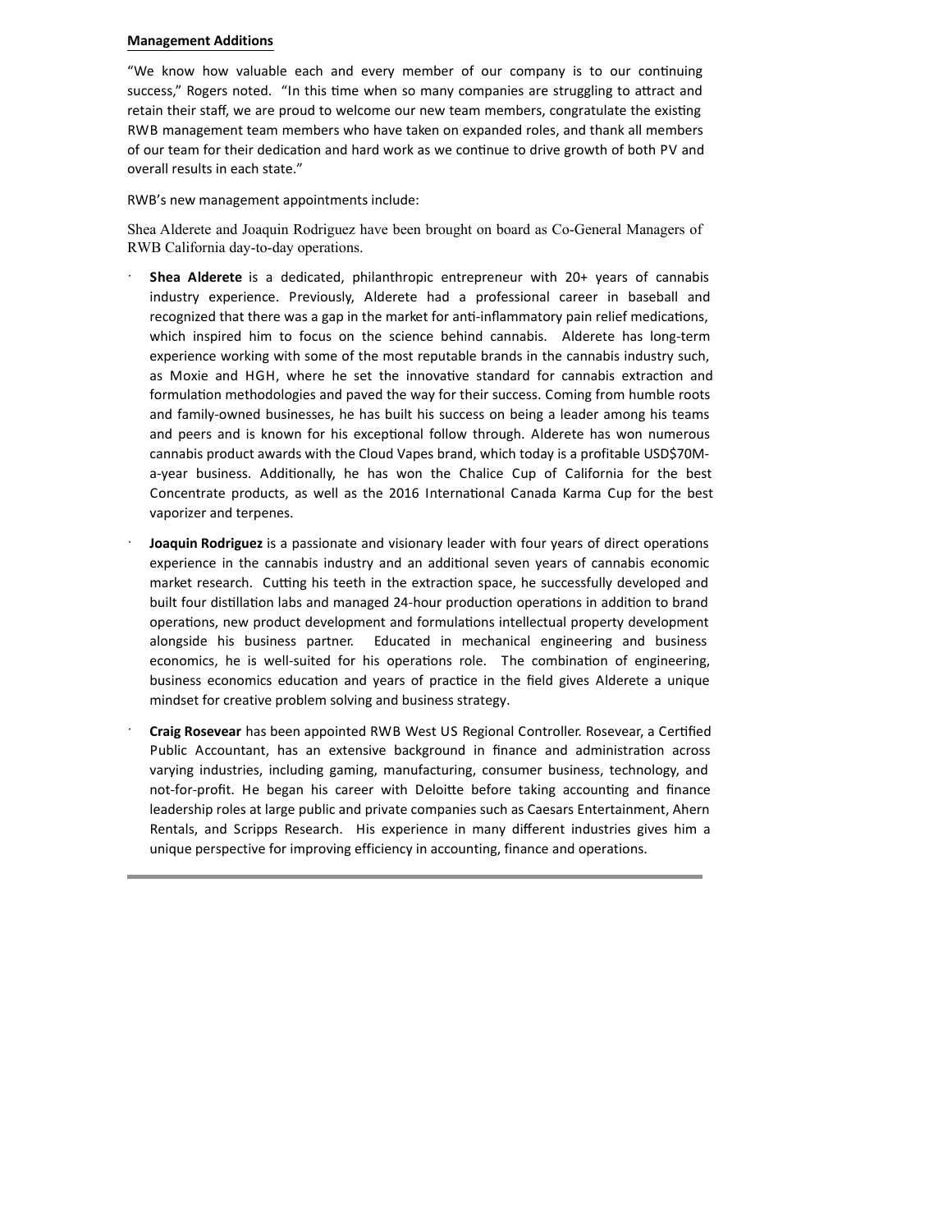#### <span id="page-4-0"></span>**Management Additions**

"We know how valuable each and every member of our company is to our continuing success," Rogers noted. "In this time when so many companies are struggling to attract and retain their staff, we are proud to welcome our new team members, congratulate the existing RWB management team members who have taken on expanded roles, and thank all members of our team for their dedication and hard work as we continue to drive growth of both PV and overall results in each state."

RWB's new management appointments include:

Shea Alderete and Joaquin Rodriguez have been brought on board as Co-General Managers of RWB California day-to-day operations.

- **Shea Alderete** is a dedicated, philanthropic entrepreneur with 20+ years of cannabis industry experience. Previously, Alderete had a professional career in baseball and recognized that there was a gap in the market for anti-inflammatory pain relief medications, which inspired him to focus on the science behind cannabis. Alderete has long-term experience working with some of the most reputable brands in the cannabis industry such, as Moxie and HGH, where he set the innovative standard for cannabis extraction and formulation methodologies and paved the way for their success. Coming from humble roots and family-owned businesses, he has built his success on being a leader among his teams and peers and is known for his exceptional follow through. Alderete has won numerous cannabis product awards with the Cloud Vapes brand, which today is a profitable USD\$70Ma-year business. Additionally, he has won the Chalice Cup of California for the best Concentrate products, as well as the 2016 International Canada Karma Cup for the best vaporizer and terpenes. ·
- **Joaquin Rodriguez** is a passionate and visionary leader with four years of direct operations experience in the cannabis industry and an additional seven years of cannabis economic market research. Cutting his teeth in the extraction space, he successfully developed and built four distillation labs and managed 24-hour production operations in addition to brand operations, new product development and formulations intellectual property development alongside his business partner. Educated in mechanical engineering and business economics, he is well-suited for his operations role. The combination of engineering, business economics education and years of practice in the field gives Alderete a unique mindset for creative problem solving and business strategy. ·
- **Craig Rosevear** has been appointed RWB West US Regional Controller. Rosevear, a Certified Public Accountant, has an extensive background in finance and administration across varying industries, including gaming, manufacturing, consumer business, technology, and not-for-profit. He began his career with Deloitte before taking accounting and finance leadership roles at large public and private companies such as Caesars Entertainment, Ahern Rentals, and Scripps Research. His experience in many different industries gives him a unique perspective for improving efficiency in accounting, finance and operations. ·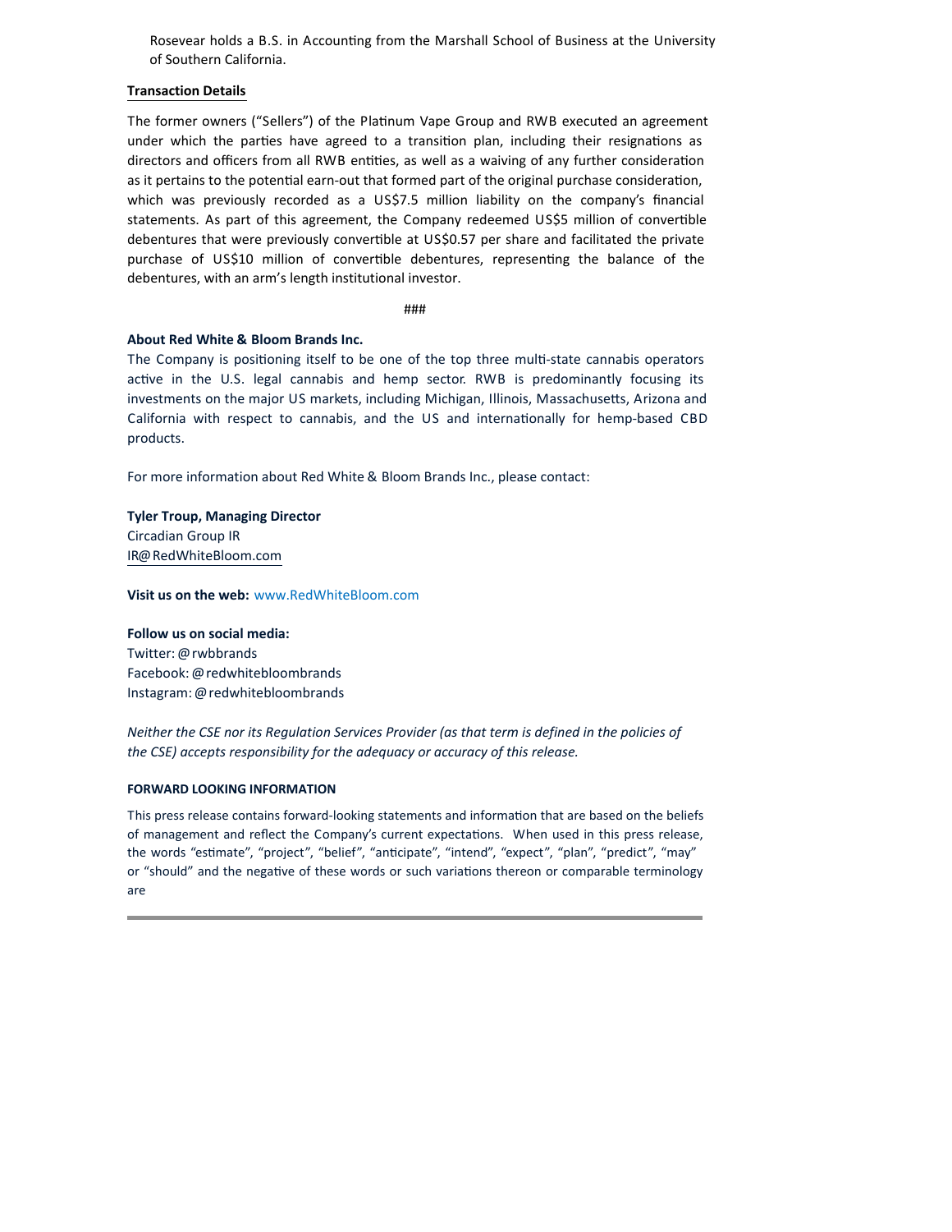Rosevear holds a B.S. in Accounting from the Marshall School of Business at the University of Southern California.

## **Transaction Details**

The former owners ("Sellers") of the Platinum Vape Group and RWB executed an agreement under which the parties have agreed to a transition plan, including their resignations as directors and officers from all RWB entities, as well as a waiving of any further consideration as it pertains to the potential earn-out that formed part of the original purchase consideration, which was previously recorded as a US\$7.5 million liability on the company's financial statements. As part of this agreement, the Company redeemed US\$5 million of convertible debentures that were previously convertible at US\$0.57 per share and facilitated the private purchase of US\$10 million of convertible debentures, representing the balance of the debentures, with an arm's length institutional investor.

###

#### **About Red White & Bloom Brands Inc.**

The Company is positioning itself to be one of the top three multi-state cannabis operators active in the U.S. legal cannabis and hemp sector. RWB is predominantly focusing its investments on the major US markets, including Michigan, Illinois, Massachusetts, Arizona and California with respect to cannabis, and the US and internationally for hemp-based CBD products.

For more information about Red White & Bloom Brands Inc., please contact:

**Tyler Troup, Managing Director** Circadian Group IR IR@RedWhiteBloom.com

**Visit us on the web:** www.RedWhiteBloom.com

**Follow us on social media:** Twitter: @rwbbrands Facebook: @redwhitebloombrands Instagram: @redwhitebloombrands

*Neither the CSE nor its Regulation Services Provider (as that term is defined in the policies of the CSE) accepts responsibility for the adequacy or accuracy of this release.*

#### **FORWARD LOOKING INFORMATION**

This press release contains forward-looking statements and information that are based on the beliefs of management and reflect the Company's current expectations. When used in this press release, the words "estimate", "project", "belief", "anticipate", "intend", "expect", "plan", "predict", "may" or "should" and the negative of these words or such variations thereon or comparable terminology are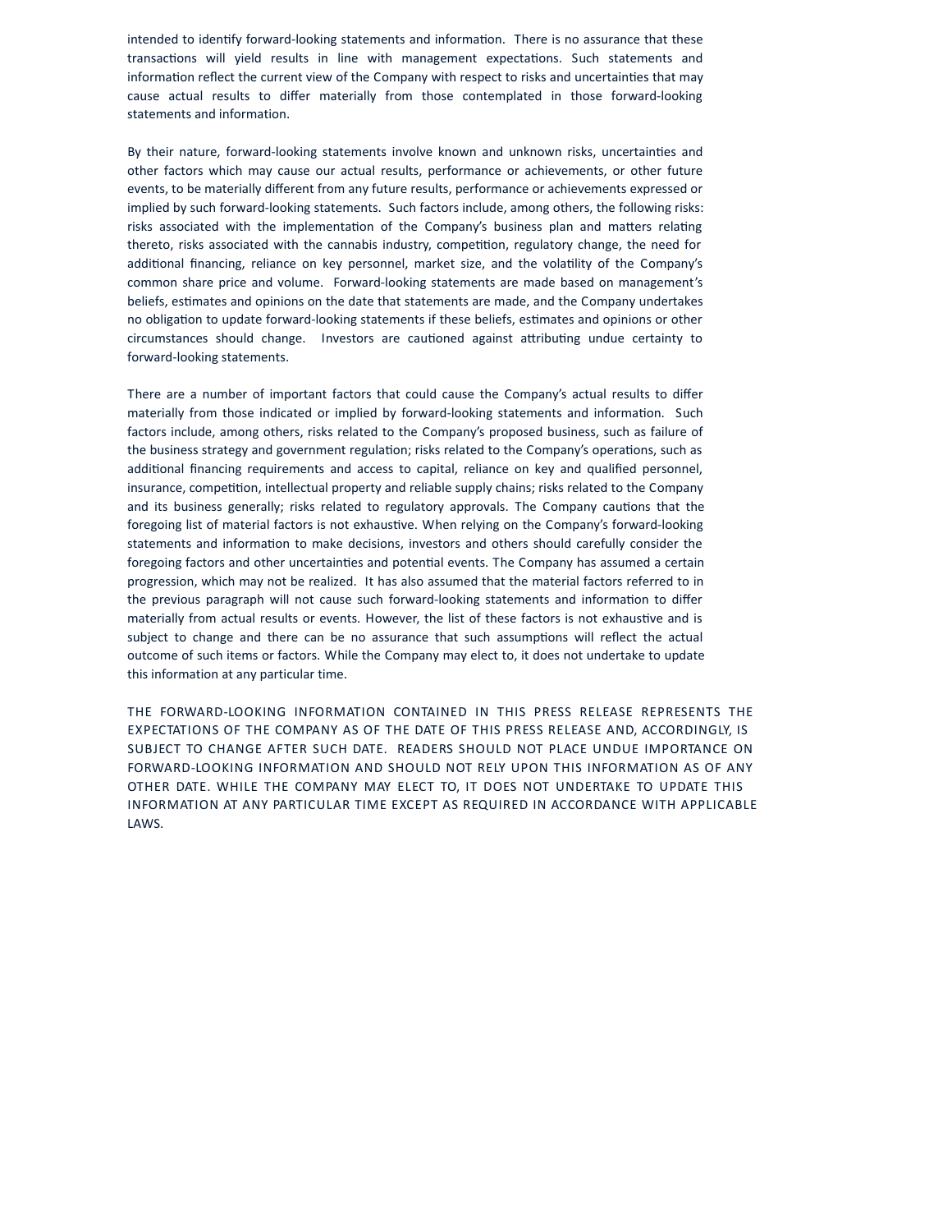intended to identify forward-looking statements and information. There is no assurance that these transactions will yield results in line with management expectations. Such statements and information reflect the current view of the Company with respect to risks and uncertainties that may cause actual results to differ materially from those contemplated in those forward-looking statements and information.

By their nature, forward-looking statements involve known and unknown risks, uncertainties and other factors which may cause our actual results, performance or achievements, or other future events, to be materially different from any future results, performance or achievements expressed or implied by such forward-looking statements. Such factors include, among others, the following risks: risks associated with the implementation of the Company's business plan and matters relating thereto, risks associated with the cannabis industry, competition, regulatory change, the need for additional financing, reliance on key personnel, market size, and the volatility of the Company's common share price and volume. Forward-looking statements are made based on management's beliefs, estimates and opinions on the date that statements are made, and the Company undertakes no obligation to update forward-looking statements if these beliefs, estimates and opinions or other circumstances should change. Investors are cautioned against attributing undue certainty to forward-looking statements.

There are a number of important factors that could cause the Company's actual results to differ materially from those indicated or implied by forward-looking statements and information. Such factors include, among others, risks related to the Company's proposed business, such as failure of the business strategy and government regulation; risks related to the Company's operations, such as additional financing requirements and access to capital, reliance on key and qualified personnel, insurance, competition, intellectual property and reliable supply chains; risks related to the Company and its business generally; risks related to regulatory approvals. The Company cautions that the foregoing list of material factors is not exhaustive. When relying on the Company's forward-looking statements and information to make decisions, investors and others should carefully consider the foregoing factors and other uncertainties and potential events. The Company has assumed a certain progression, which may not be realized. It has also assumed that the material factors referred to in the previous paragraph will not cause such forward-looking statements and information to differ materially from actual results or events. However, the list of these factors is not exhaustive and is subject to change and there can be no assurance that such assumptions will reflect the actual outcome of such items or factors. While the Company may elect to, it does not undertake to update this information at any particular time.

THE FORWARD-LOOKING INFORMATION CONTAINED IN THIS PRESS RELEASE REPRESENTS THE EXPECTATIONS OF THE COMPANY AS OF THE DATE OF THIS PRESS RELEASE AND, ACCORDINGLY, IS SUBJECT TO CHANGE AFTER SUCH DATE. READERS SHOULD NOT PLACE UNDUE IMPORTANCE ON FORWARD-LOOKING INFORMATION AND SHOULD NOT RELY UPON THIS INFORMATION AS OF ANY OTHER DATE. WHILE THE COMPANY MAY ELECT TO, IT DOES NOT UNDERTAKE TO UPDATE THIS INFORMATION AT ANY PARTICULAR TIME EXCEPT AS REQUIRED IN ACCORDANCE WITH APPLICABLE LAWS.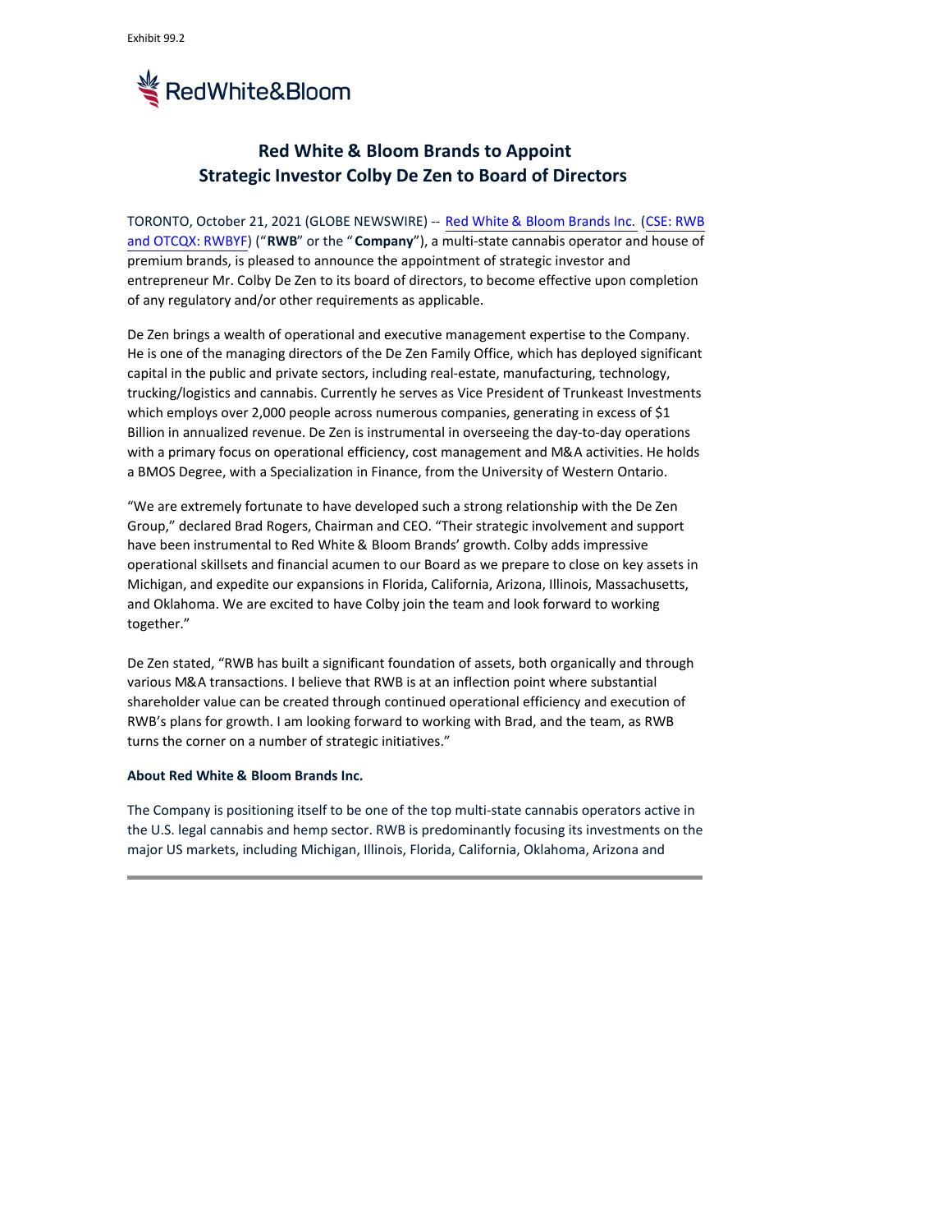

# **Red White & Bloom Brands to Appoint Strategic Investor Colby De Zen to Board of Directors**

TORONTO, October 21, 2021 (GLOBE NEWSWIRE) -- Red White & Bloom Brands Inc. (CSE: RWB and OTCQX: RWBYF) ("**RWB**" or the " **Company**"), a multi-state cannabis operator and house of premium brands, is pleased to announce the appointment of strategic investor and entrepreneur Mr. Colby De Zen to its board of directors, to become effective upon completion of any regulatory and/or other requirements as applicable.

De Zen brings a wealth of operational and executive management expertise to the Company. He is one of the managing directors of the De Zen Family Office, which has deployed significant capital in the public and private sectors, including real-estate, manufacturing, technology, trucking/logistics and cannabis. Currently he serves as Vice President of Trunkeast Investments which employs over 2,000 people across numerous companies, generating in excess of \$1 Billion in annualized revenue. De Zen is instrumental in overseeing the day-to-day operations with a primary focus on operational efficiency, cost management and M&A activities. He holds a BMOS Degree, with a Specialization in Finance, from the University of Western Ontario.

"We are extremely fortunate to have developed such a strong relationship with the De Zen Group," declared Brad Rogers, Chairman and CEO. "Their strategic involvement and support have been instrumental to Red White & Bloom Brands' growth. Colby adds impressive operational skillsets and financial acumen to our Board as we prepare to close on key assets in Michigan, and expedite our expansions in Florida, California, Arizona, Illinois, Massachusetts, and Oklahoma. We are excited to have Colby join the team and look forward to working together."

De Zen stated, "RWB has built a significant foundation of assets, both organically and through various M&A transactions. I believe that RWB is at an inflection point where substantial shareholder value can be created through continued operational efficiency and execution of RWB's plans for growth. I am looking forward to working with Brad, and the team, as RWB turns the corner on a number of strategic initiatives."

# **About Red White & Bloom Brands Inc.**

The Company is positioning itself to be one of the top multi-state cannabis operators active in the U.S. legal cannabis and hemp sector. RWB is predominantly focusing its investments on the major US markets, including Michigan, Illinois, Florida, California, Oklahoma, Arizona and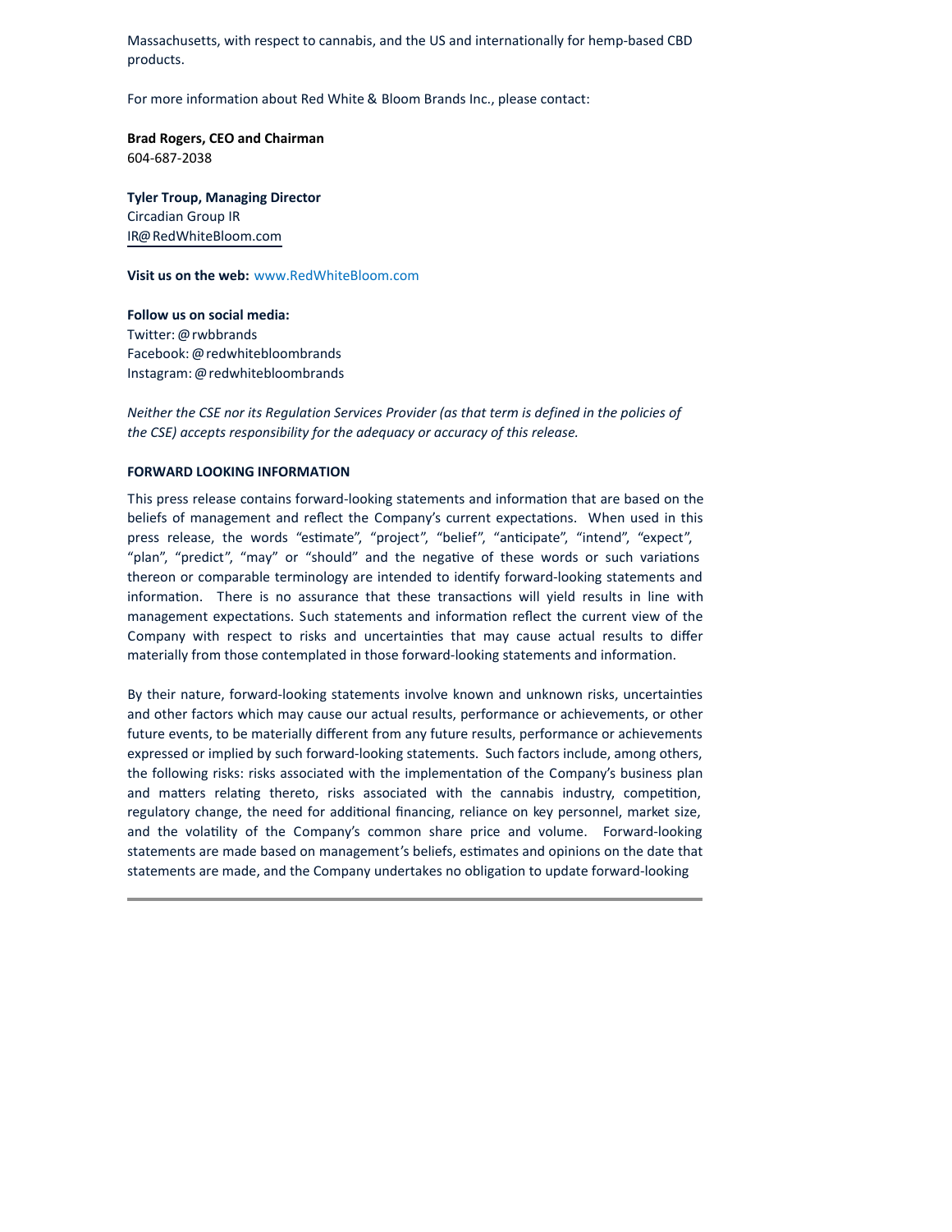<span id="page-8-0"></span>Massachusetts, with respect to cannabis, and the US and internationally for hemp-based CBD products.

For more information about Red White & Bloom Brands Inc., please contact:

**Brad Rogers, CEO and Chairman** 604-687-2038

**Tyler Troup, Managing Director** Circadian Group IR IR@RedWhiteBloom.com

**Visit us on the web:** www.RedWhiteBloom.com

**Follow us on social media:** Twitter: @rwbbrands Facebook: @redwhitebloombrands Instagram: @redwhitebloombrands

*Neither the CSE nor its Regulation Services Provider (as that term is defined in the policies of the CSE) accepts responsibility for the adequacy or accuracy of this release.*

#### **FORWARD LOOKING INFORMATION**

This press release contains forward-looking statements and information that are based on the beliefs of management and reflect the Company's current expectations. When used in this press release, the words "estimate", "project", "belief", "anticipate", "intend", "expect", "plan", "predict", "may" or "should" and the negative of these words or such variations thereon or comparable terminology are intended to identify forward-looking statements and information. There is no assurance that these transactions will yield results in line with management expectations. Such statements and information reflect the current view of the Company with respect to risks and uncertainties that may cause actual results to differ materially from those contemplated in those forward-looking statements and information.

By their nature, forward-looking statements involve known and unknown risks, uncertainties and other factors which may cause our actual results, performance or achievements, or other future events, to be materially different from any future results, performance or achievements expressed or implied by such forward-looking statements. Such factors include, among others, the following risks: risks associated with the implementation of the Company's business plan and matters relating thereto, risks associated with the cannabis industry, competition, regulatory change, the need for additional financing, reliance on key personnel, market size, and the volatility of the Company's common share price and volume. Forward-looking statements are made based on management's beliefs, estimates and opinions on the date that statements are made, and the Company undertakes no obligation to update forward-looking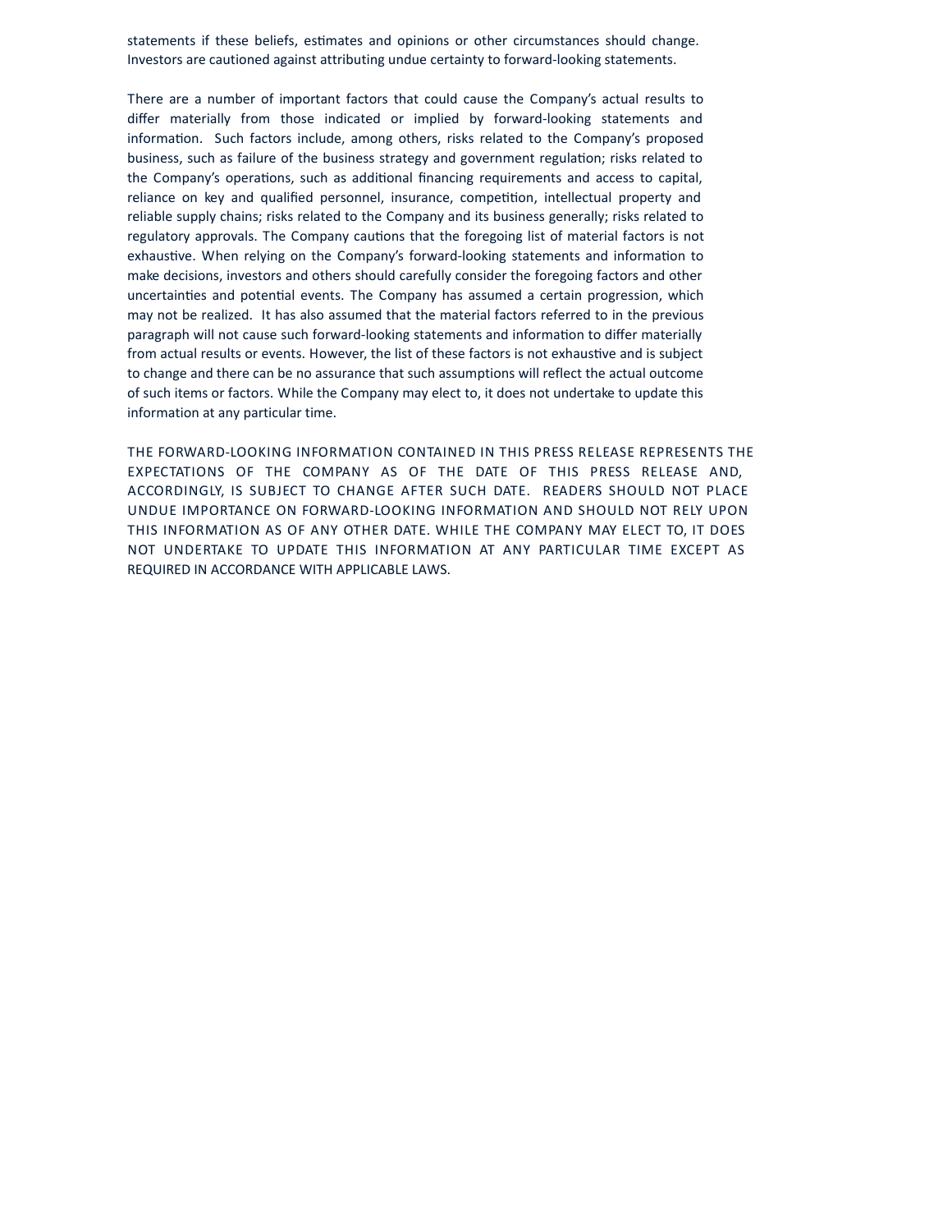statements if these beliefs, estimates and opinions or other circumstances should change. Investors are cautioned against attributing undue certainty to forward-looking statements.

There are a number of important factors that could cause the Company's actual results to differ materially from those indicated or implied by forward-looking statements and information. Such factors include, among others, risks related to the Company's proposed business, such as failure of the business strategy and government regulation; risks related to the Company's operations, such as additional financing requirements and access to capital, reliance on key and qualified personnel, insurance, competition, intellectual property and reliable supply chains; risks related to the Company and its business generally; risks related to regulatory approvals. The Company cautions that the foregoing list of material factors is not exhaustive. When relying on the Company's forward-looking statements and information to make decisions, investors and others should carefully consider the foregoing factors and other uncertainties and potential events. The Company has assumed a certain progression, which may not be realized. It has also assumed that the material factors referred to in the previous paragraph will not cause such forward-looking statements and information to differ materially from actual results or events. However, the list of these factors is not exhaustive and is subject to change and there can be no assurance that such assumptions will reflect the actual outcome of such items or factors. While the Company may elect to, it does not undertake to update this information at any particular time.

THE FORWARD-LOOKING INFORMATION CONTAINED IN THIS PRESS RELEASE REPRESENTS THE EXPECTATIONS OF THE COMPANY AS OF THE DATE OF THIS PRESS RELEASE AND, ACCORDINGLY, IS SUBJECT TO CHANGE AFTER SUCH DATE. READERS SHOULD NOT PLACE UNDUE IMPORTANCE ON FORWARD-LOOKING INFORMATION AND SHOULD NOT RELY UPON THIS INFORMATION AS OF ANY OTHER DATE. WHILE THE COMPANY MAY ELECT TO, IT DOES NOT UNDERTAKE TO UPDATE THIS INFORMATION AT ANY PARTICULAR TIME EXCEPT AS REQUIRED IN ACCORDANCE WITH APPLICABLE LAWS.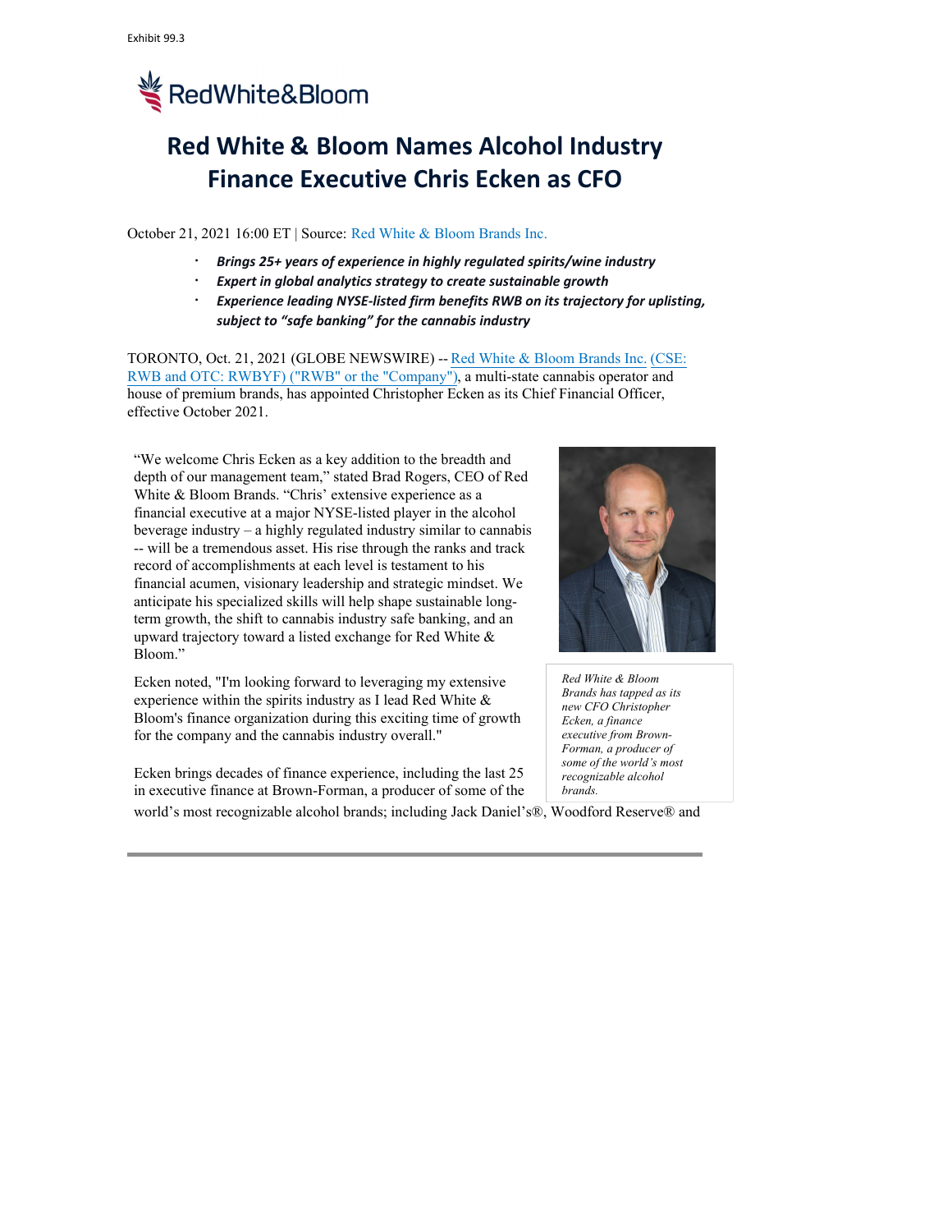

# **Red White & Bloom Names Alcohol Industry Finance Executive Chris Ecken as CFO**

October 21, 2021 16:00 ET | Source: Red White & Bloom Brands Inc.

- *Brings 25+ years of experience in highly regulated spirits/wine industry ·*
- *Expert in global analytics strategy to create sustainable growth ·*
- *Experience leading NYSE-listed firm benefits RWB on its trajectory for uplisting, ·subject to "safe banking" for the cannabis industry*

TORONTO, Oct. 21, 2021 (GLOBE NEWSWIRE) -- Red White & Bloom Brands Inc. (CSE: RWB and OTC: RWBYF) ("RWB" or the "Company"), a multi-state cannabis operator and house of premium brands, has appointed Christopher Ecken as its Chief Financial Officer, effective October 2021.

"We welcome Chris Ecken as a key addition to the breadth and depth of our management team," stated Brad Rogers, CEO of Red White & Bloom Brands. "Chris' extensive experience as a financial executive at a major NYSE-listed player in the alcohol beverage industry – a highly regulated industry similar to cannabis -- will be a tremendous asset. His rise through the ranks and track record of accomplishments at each level is testament to his financial acumen, visionary leadership and strategic mindset. We anticipate his specialized skills will help shape sustainable longterm growth, the shift to cannabis industry safe banking, and an upward trajectory toward a listed exchange for Red White & Bloom."

Ecken noted, "I'm looking forward to leveraging my extensive experience within the spirits industry as I lead Red White & Bloom's finance organization during this exciting time of growth for the company and the cannabis industry overall."

Ecken brings decades of finance experience, including the last 25 in executive finance at Brown-Forman, a producer of some of the



*Red White & Bloom Brands has tapped as its new CFO Christopher Ecken, a finance executive from Brown-Forman, a producer of some of the world's most recognizable alcohol brands.*

world's most recognizable alcohol brands; including Jack Daniel's®, Woodford Reserve® and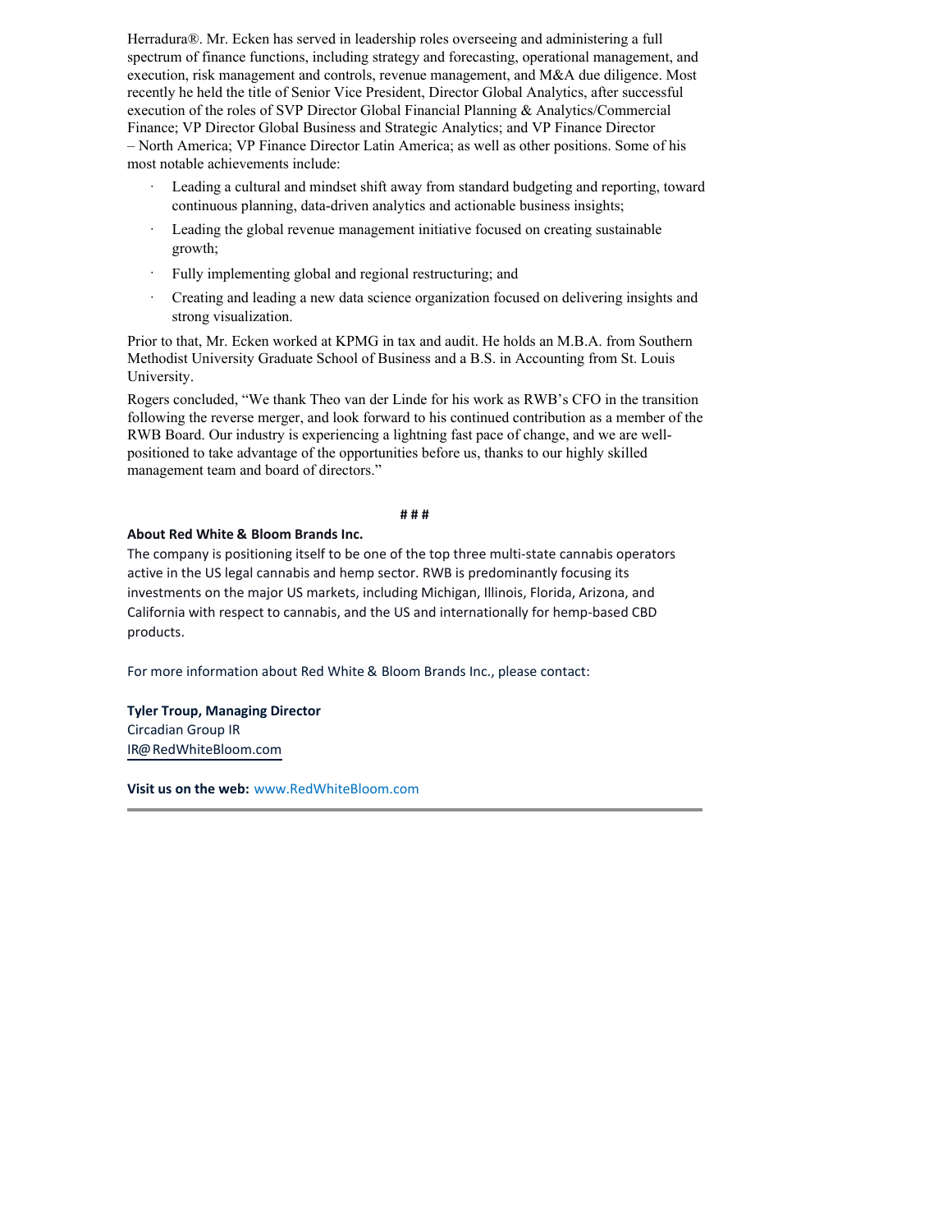<span id="page-11-0"></span>Herradura®. Mr. Ecken has served in leadership roles overseeing and administering a full spectrum of finance functions, including strategy and forecasting, operational management, and execution, risk management and controls, revenue management, and M&A due diligence. Most recently he held the title of Senior Vice President, Director Global Analytics, after successful execution of the roles of SVP Director Global Financial Planning & Analytics/Commercial Finance; VP Director Global Business and Strategic Analytics; and VP Finance Director – North America; VP Finance Director Latin America; as well as other positions. Some of his most notable achievements include:

- Leading a cultural and mindset shift away from standard budgeting and reporting, toward continuous planning, data-driven analytics and actionable business insights; ·
- Leading the global revenue management initiative focused on creating sustainable growth; ·
- Fully implementing global and regional restructuring; and ·
- Creating and leading a new data science organization focused on delivering insights and strong visualization. ·

Prior to that, Mr. Ecken worked at KPMG in tax and audit. He holds an M.B.A. from Southern Methodist University Graduate School of Business and a B.S. in Accounting from St. Louis University.

Rogers concluded, "We thank Theo van der Linde for his work as RWB's CFO in the transition following the reverse merger, and look forward to his continued contribution as a member of the RWB Board. Our industry is experiencing a lightning fast pace of change, and we are wellpositioned to take advantage of the opportunities before us, thanks to our highly skilled management team and board of directors."

# **# # #**

## **About Red White & Bloom Brands Inc.**

The company is positioning itself to be one of the top three multi-state cannabis operators active in the US legal cannabis and hemp sector. RWB is predominantly focusing its investments on the major US markets, including Michigan, Illinois, Florida, Arizona, and California with respect to cannabis, and the US and internationally for hemp-based CBD products.

For more information about Red White & Bloom Brands Inc., please contact:

**Tyler Troup, Managing Director** Circadian Group IR IR@RedWhiteBloom.com

**Visit us on the web:** www.RedWhiteBloom.com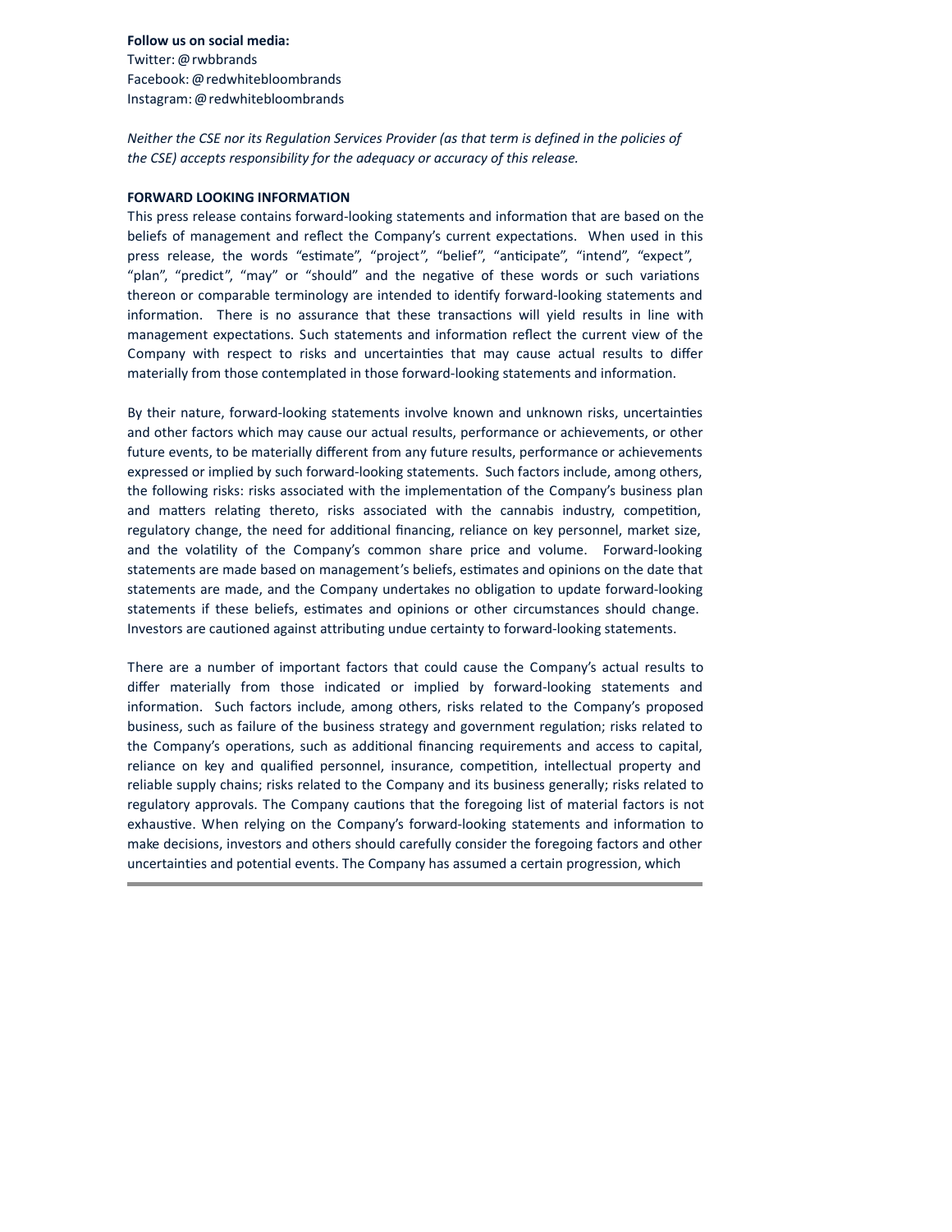**Follow us on social media:** Twitter: @rwbbrands Facebook: @redwhitebloombrands Instagram: @redwhitebloombrands

*Neither the CSE nor its Regulation Services Provider (as that term is defined in the policies of the CSE) accepts responsibility for the adequacy or accuracy of this release.*

#### **FORWARD LOOKING INFORMATION**

This press release contains forward-looking statements and information that are based on the beliefs of management and reflect the Company's current expectations. When used in this press release, the words "estimate", "project", "belief", "anticipate", "intend", "expect", "plan", "predict", "may" or "should" and the negative of these words or such variations thereon or comparable terminology are intended to identify forward-looking statements and information. There is no assurance that these transactions will yield results in line with management expectations. Such statements and information reflect the current view of the Company with respect to risks and uncertainties that may cause actual results to differ materially from those contemplated in those forward-looking statements and information.

By their nature, forward-looking statements involve known and unknown risks, uncertainties and other factors which may cause our actual results, performance or achievements, or other future events, to be materially different from any future results, performance or achievements expressed or implied by such forward-looking statements. Such factors include, among others, the following risks: risks associated with the implementation of the Company's business plan and matters relating thereto, risks associated with the cannabis industry, competition, regulatory change, the need for additional financing, reliance on key personnel, market size, and the volatility of the Company's common share price and volume. Forward-looking statements are made based on management's beliefs, estimates and opinions on the date that statements are made, and the Company undertakes no obligation to update forward-looking statements if these beliefs, estimates and opinions or other circumstances should change. Investors are cautioned against attributing undue certainty to forward-looking statements.

There are a number of important factors that could cause the Company's actual results to differ materially from those indicated or implied by forward-looking statements and information. Such factors include, among others, risks related to the Company's proposed business, such as failure of the business strategy and government regulation; risks related to the Company's operations, such as additional financing requirements and access to capital, reliance on key and qualified personnel, insurance, competition, intellectual property and reliable supply chains; risks related to the Company and its business generally; risks related to regulatory approvals. The Company cautions that the foregoing list of material factors is not exhaustive. When relying on the Company's forward-looking statements and information to make decisions, investors and others should carefully consider the foregoing factors and other uncertainties and potential events. The Company has assumed a certain progression, which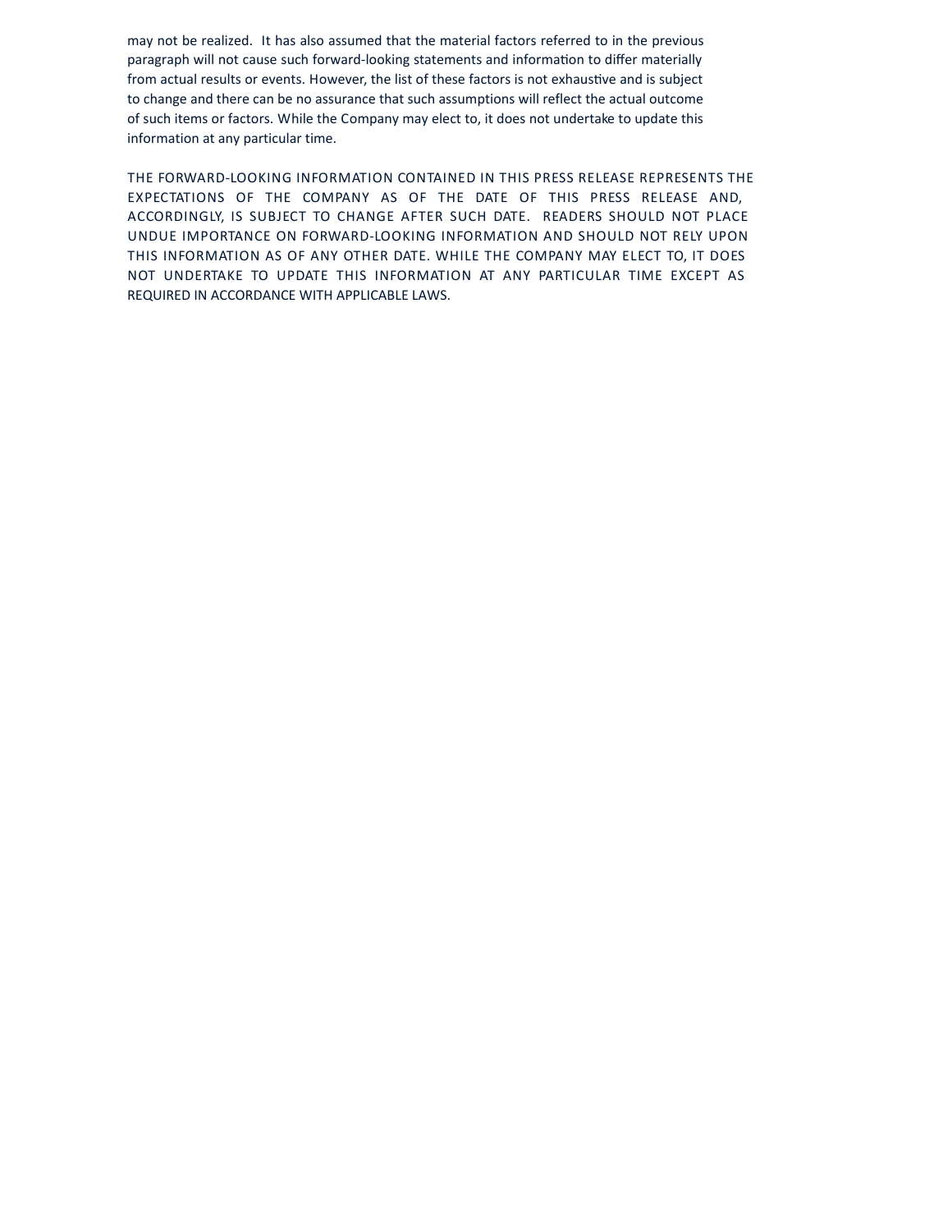may not be realized. It has also assumed that the material factors referred to in the previous paragraph will not cause such forward-looking statements and information to differ materially from actual results or events. However, the list of these factors is not exhaustive and is subject to change and there can be no assurance that such assumptions will reflect the actual outcome of such items or factors. While the Company may elect to, it does not undertake to update this information at any particular time.

THE FORWARD-LOOKING INFORMATION CONTAINED IN THIS PRESS RELEASE REPRESENTS THE EXPECTATIONS OF THE COMPANY AS OF THE DATE OF THIS PRESS RELEASE AND, ACCORDINGLY, IS SUBJECT TO CHANGE AFTER SUCH DATE. READERS SHOULD NOT PLACE UNDUE IMPORTANCE ON FORWARD-LOOKING INFORMATION AND SHOULD NOT RELY UPON THIS INFORMATION AS OF ANY OTHER DATE. WHILE THE COMPANY MAY ELECT TO, IT DOES NOT UNDERTAKE TO UPDATE THIS INFORMATION AT ANY PARTICULAR TIME EXCEPT AS REQUIRED IN ACCORDANCE WITH APPLICABLE LAWS.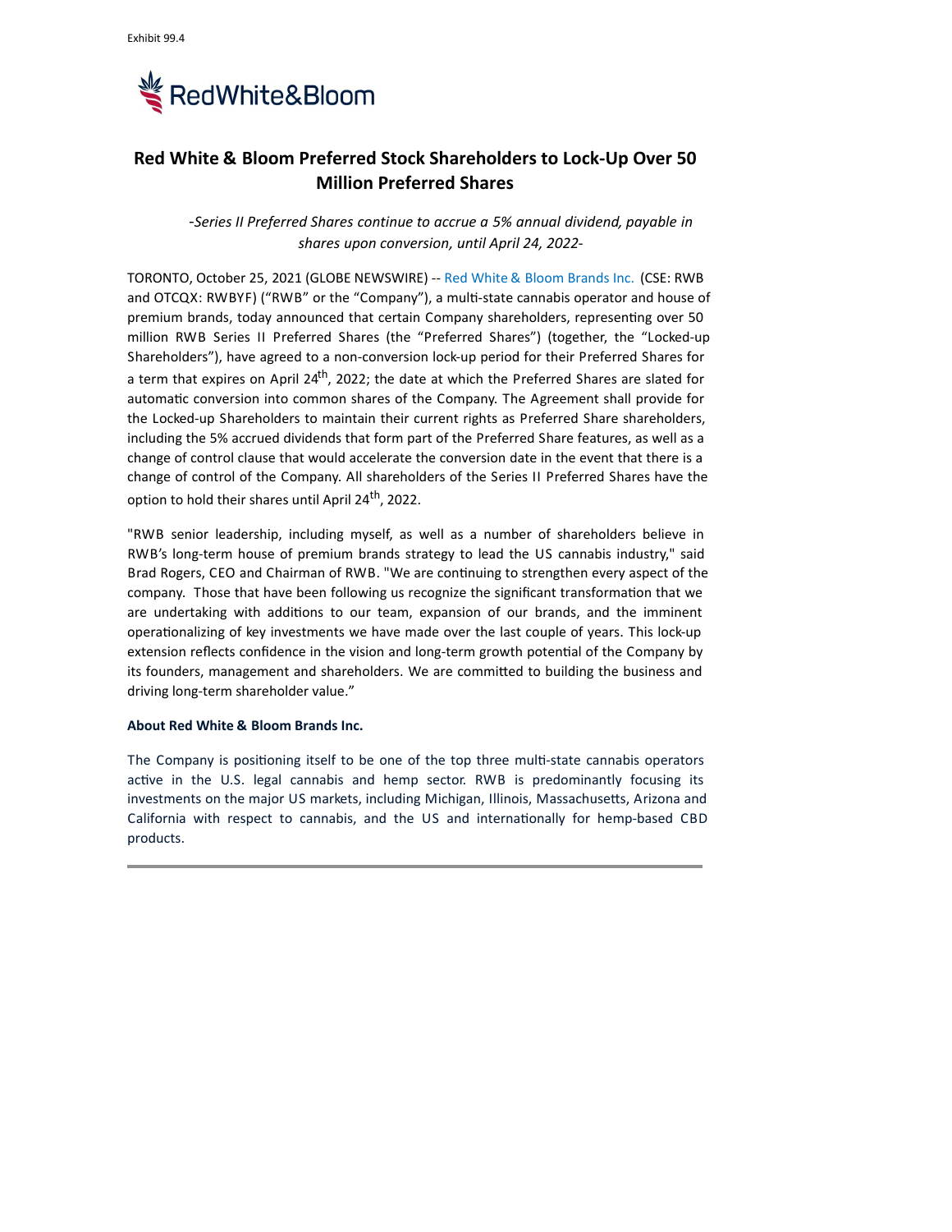

# **Red White & Bloom Preferred Stock Shareholders to Lock-Up Over 50 Million Preferred Shares**

*-Series II Preferred Shares continue to accrue a 5% annual dividend, payable in shares upon conversion, until April 24, 2022-*

TORONTO, October 25, 2021 (GLOBE NEWSWIRE) -- Red White & Bloom Brands Inc. (CSE: RWB and OTCQX: RWBYF) ("RWB" or the "Company"), a multi-state cannabis operator and house of premium brands, today announced that certain Company shareholders, representing over 50 million RWB Series II Preferred Shares (the "Preferred Shares") (together, the "Locked-up Shareholders"), have agreed to a non-conversion lock-up period for their Preferred Shares for a term that expires on April 24<sup>th</sup>, 2022; the date at which the Preferred Shares are slated for automatic conversion into common shares of the Company. The Agreement shall provide for the Locked-up Shareholders to maintain their current rights as Preferred Share shareholders, including the 5% accrued dividends that form part of the Preferred Share features, as well as a change of control clause that would accelerate the conversion date in the event that there is a change of control of the Company. All shareholders of the Series II Preferred Shares have the option to hold their shares until April 24<sup>th</sup>, 2022.

"RWB senior leadership, including myself, as well as a number of shareholders believe in RWB's long-term house of premium brands strategy to lead the US cannabis industry," said Brad Rogers, CEO and Chairman of RWB. "We are continuing to strengthen every aspect of the company. Those that have been following us recognize the significant transformation that we are undertaking with additions to our team, expansion of our brands, and the imminent operationalizing of key investments we have made over the last couple of years. This lock-up extension reflects confidence in the vision and long-term growth potential of the Company by its founders, management and shareholders. We are committed to building the business and driving long-term shareholder value."

#### **About Red White & Bloom Brands Inc.**

The Company is positioning itself to be one of the top three multi-state cannabis operators active in the U.S. legal cannabis and hemp sector. RWB is predominantly focusing its investments on the major US markets, including Michigan, Illinois, Massachusetts, Arizona and California with respect to cannabis, and the US and internationally for hemp-based CBD products.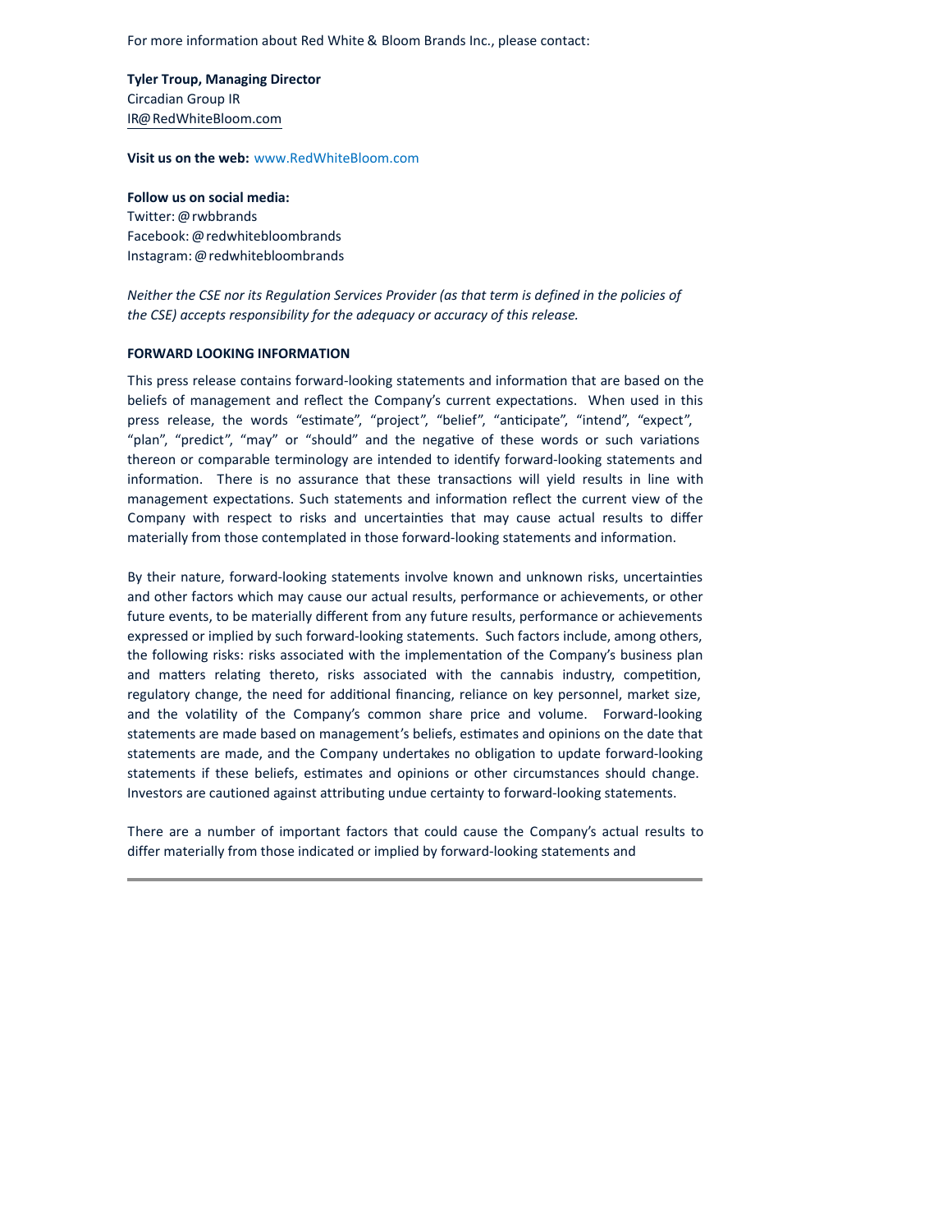<span id="page-15-0"></span>For more information about Red White & Bloom Brands Inc., please contact:

**Tyler Troup, Managing Director** Circadian Group IR IR@RedWhiteBloom.com

**Visit us on the web:** www.RedWhiteBloom.com

**Follow us on social media:** Twitter: @rwbbrands Facebook: @redwhitebloombrands Instagram: @redwhitebloombrands

*Neither the CSE nor its Regulation Services Provider (as that term is defined in the policies of the CSE) accepts responsibility for the adequacy or accuracy of this release.*

#### **FORWARD LOOKING INFORMATION**

This press release contains forward-looking statements and information that are based on the beliefs of management and reflect the Company's current expectations. When used in this press release, the words "estimate", "project", "belief", "anticipate", "intend", "expect", "plan", "predict", "may" or "should" and the negative of these words or such variations thereon or comparable terminology are intended to identify forward-looking statements and information. There is no assurance that these transactions will yield results in line with management expectations. Such statements and information reflect the current view of the Company with respect to risks and uncertainties that may cause actual results to differ materially from those contemplated in those forward-looking statements and information.

By their nature, forward-looking statements involve known and unknown risks, uncertainties and other factors which may cause our actual results, performance or achievements, or other future events, to be materially different from any future results, performance or achievements expressed or implied by such forward-looking statements. Such factors include, among others, the following risks: risks associated with the implementation of the Company's business plan and matters relating thereto, risks associated with the cannabis industry, competition, regulatory change, the need for additional financing, reliance on key personnel, market size, and the volatility of the Company's common share price and volume. Forward-looking statements are made based on management's beliefs, estimates and opinions on the date that statements are made, and the Company undertakes no obligation to update forward-looking statements if these beliefs, estimates and opinions or other circumstances should change. Investors are cautioned against attributing undue certainty to forward-looking statements.

There are a number of important factors that could cause the Company's actual results to differ materially from those indicated or implied by forward-looking statements and